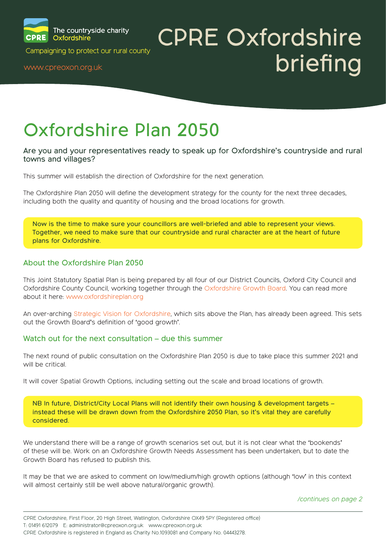

# CPRE Oxfordshire Campaigning to protect our rural county<br>www.cpreoxon.org.uk british county

### Oxfordshire Plan 2050

#### Are you and your representatives ready to speak up for Oxfordshire's countryside and rural towns and villages?

This summer will establish the direction of Oxfordshire for the next generation.

The Oxfordshire Plan 2050 will define the development strategy for the county for the next three decades, including both the quality and quantity of housing and the broad locations for growth.

Now is the time to make sure your councillors are well-briefed and able to represent your views. Together, we need to make sure that our countryside and rural character are at the heart of future plans for Oxfordshire.

#### About the Oxfordshire Plan 2050

This Joint Statutory Spatial Plan is being prepared by all four of our District Councils, Oxford City Council and Oxfordshire County Council, working together through the Oxfordshire Growth Board. You can read more about it here: www.oxfordshireplan.org

An over-arching Strategic Vision for Oxfordshire, which sits above the Plan, has already been agreed. This sets out the Growth Board's definition of 'good growth'.

#### Watch out for the next consultation – due this summer

The next round of public consultation on the Oxfordshire Plan 2050 is due to take place this summer 2021 and will be critical.

It will cover Spatial Growth Options, including setting out the scale and broad locations of growth.

NB In future, District/City Local Plans will not identify their own housing & development targets – instead these will be drawn down from the Oxfordshire 2050 Plan, so it's vital they are carefully considered.

We understand there will be a range of growth scenarios set out, but it is not clear what the 'bookends' of these will be. Work on an Oxfordshire Growth Needs Assessment has been undertaken, but to date the Growth Board has refused to publish this.

It may be that we are asked to comment on low/medium/high growth options (although 'low' in this context will almost certainly still be well above natural/organic growth).

*[/continues on page 2](#page-1-0)*